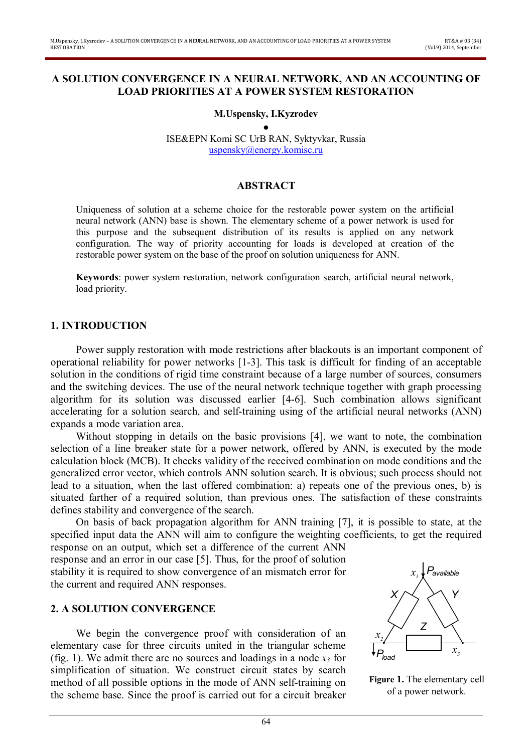#### **A SOLUTION CONVERGENCE IN A NEURAL NETWORK, AND AN ACCOUNTING OF LOAD PRIORITIES AT A POWER SYSTEM RESTORATION**

**M.Uspensky, I.Kyzrodev** 

● ISE&EPN Komi SC UrB RAN, Syktyvkar, Russia uspensky@energy.komisc.ru

# **ABSTRACT**

Uniqueness of solution at a scheme choice for the restorable power system on the artificial neural network (ANN) base is shown. The elementary scheme of a power network is used for this purpose and the subsequent distribution of its results is applied on any network configuration. The way of priority accounting for loads is developed at creation of the restorable power system on the base of the proof on solution uniqueness for ANN.

**Keywords**: power system restoration, network configuration search, artificial neural network, load priority.

## **1. INTRODUCTION**

Power supply restoration with mode restrictions after blackouts is an important component of operational reliability for power networks [1-3]. This task is difficult for finding of an acceptable solution in the conditions of rigid time constraint because of a large number of sources, consumers and the switching devices. The use of the neural network technique together with graph processing algorithm for its solution was discussed earlier [4-6]. Such combination allows significant accelerating for a solution search, and self-training using of the artificial neural networks (ANN) expands a mode variation area.

Without stopping in details on the basic provisions [4], we want to note, the combination selection of a line breaker state for a power network, offered by ANN, is executed by the mode calculation block (MCB). It checks validity of the received combination on mode conditions and the generalized error vector, which controls ANN solution search. It is obvious; such process should not lead to a situation, when the last offered combination: a) repeats one of the previous ones, b) is situated farther of a required solution, than previous ones. The satisfaction of these constraints defines stability and convergence of the search.

On basis of back propagation algorithm for ANN training [7], it is possible to state, at the specified input data the ANN will aim to configure the weighting coefficients, to get the required response on an output, which set a difference of the current ANN

response and an error in our case [5]. Thus, for the proof of solution stability it is required to show convergence of an mismatch error for the current and required ANN responses.

## **2. A SOLUTION CONVERGENCE**

We begin the convergence proof with consideration of an elementary case for three circuits united in the triangular scheme (fig. 1). We admit there are no sources and loadings in a node  $x_3$  for simplification of situation. We construct circuit states by search method of all possible options in the mode of ANN self-training on the scheme base. Since the proof is carried out for a circuit breaker



**Figure 1.** The elementary cell of a power network.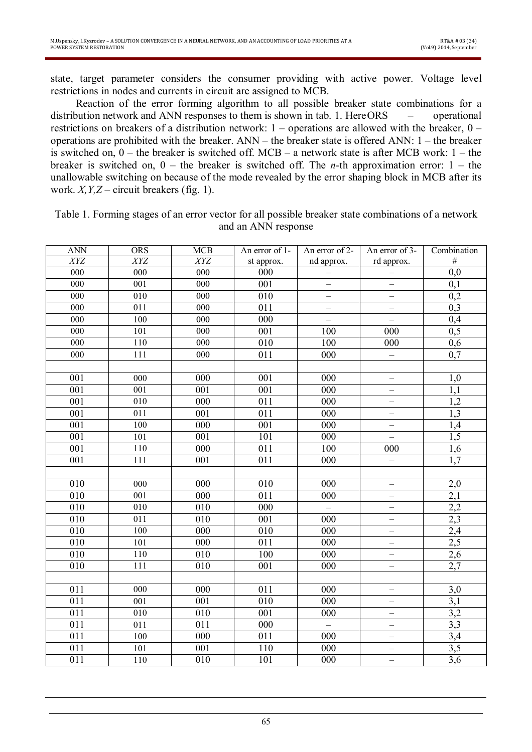state, target parameter considers the consumer providing with active power. Voltage level restrictions in nodes and currents in circuit are assigned to MCB.

Reaction of the error forming algorithm to all possible breaker state combinations for a distribution network and ANN responses to them is shown in tab. 1. HereORS – operational restrictions on breakers of a distribution network: 1 – operations are allowed with the breaker, 0 – operations are prohibited with the breaker. ANN – the breaker state is offered ANN: 1 – the breaker is switched on,  $0$  – the breaker is switched off. MCB – a network state is after MCB work:  $1$  – the breaker is switched on, 0 – the breaker is switched off. The *n*-th approximation error: 1 – the unallowable switching on because of the mode revealed by the error shaping block in MCB after its work.  $X, Y, Z$  – circuit breakers (fig. 1).

| <b>ANN</b>       | <b>ORS</b>       | MCB              | An error of 1-   | An error of 2-           | An error of 3-           | Combination      |
|------------------|------------------|------------------|------------------|--------------------------|--------------------------|------------------|
| XYZ              | XYZ              | XYZ              | st approx.       | nd approx.               | rd approx.               | $\#$             |
| $\overline{000}$ | $\overline{000}$ | $\overline{000}$ | 000              |                          |                          | $\overline{0,0}$ |
| $\overline{000}$ | 001              | 000              | $\overline{001}$ | $\equiv$                 | $\equiv$                 | $\overline{0,1}$ |
| $\overline{000}$ | 010              | 000              | $\overline{010}$ | $\equiv$                 | $\equiv$                 | $\overline{0,2}$ |
| 000              | 011              | 000              | $\overline{011}$ | $\overline{\phantom{0}}$ | $\overline{\phantom{0}}$ | 0,3              |
| 000              | 100              | 000              | $\overline{000}$ | $\overline{\phantom{0}}$ | $\qquad \qquad -$        | $\overline{0,4}$ |
| 000              | 101              | 000              | 001              | 100                      | 000                      | 0,5              |
| 000              | 110              | 000              | 010              | 100                      | 000                      | 0,6              |
| 000              | 111              | 000              | 011              | 000                      | $\equiv$                 | $\overline{0,7}$ |
|                  |                  |                  |                  |                          |                          |                  |
| 001              | 000              | 000              | 001              | 000                      | $\overline{\phantom{0}}$ | 1,0              |
| $\overline{001}$ | 001              | 001              | $\overline{001}$ | 000                      | $\qquad \qquad -$        | 1,1              |
| 001              | 010              | 000              | 011              | 000                      | $\qquad \qquad -$        | 1,2              |
| 001              | 011              | 001              | 011              | 000                      | $\qquad \qquad -$        | 1,3              |
| 001              | 100              | $\overline{000}$ | $\overline{001}$ | 000                      | $\equiv$                 | $\overline{1,4}$ |
| 001              | 101              | 001              | 101              | 000                      | $\overline{\phantom{0}}$ | $\overline{1,5}$ |
| $\overline{001}$ | 110              | 000              | $\overline{011}$ | 100                      | 000                      | $\overline{1,6}$ |
| 001              | 111              | 001              | $\overline{011}$ | 000                      | $\qquad \qquad -$        | $\overline{1,7}$ |
|                  |                  |                  |                  |                          |                          |                  |
| $\overline{010}$ | 000              | 000              | 010              | 000                      | $\qquad \qquad -$        | 2,0              |
| 010              | 001              | 000              | 011              | 000                      | $\equiv$                 | $\overline{2,1}$ |
| 010              | 010              | 010              | 000              | $\frac{1}{2}$            | $\overline{\phantom{0}}$ | $\overline{2,2}$ |
| $\overline{010}$ | 011              | $\overline{010}$ | $\overline{001}$ | 000                      | $\overline{\phantom{0}}$ | 2,3              |
| $\overline{010}$ | 100              | $\overline{000}$ | 010              | $\overline{000}$         | $\equiv$                 | $\frac{2,4}{ }$  |
| 010              | 101              | 000              | 011              | 000                      | $\qquad \qquad -$        | $\overline{2,5}$ |
| 010              | 110              | 010              | 100              | $\overline{000}$         | $\equiv$                 | 2,6              |
| 010              | 111              | 010              | 001              | 000                      | $\overline{\phantom{0}}$ | 2,7              |
|                  |                  |                  |                  |                          |                          |                  |
| 011              | 000              | 000              | 011              | 000                      | $\qquad \qquad -$        | 3,0              |
| 011              | 001              | 001              | 010              | 000                      | $\overline{\phantom{0}}$ | $\overline{3,1}$ |
| 011              | $\overline{010}$ | 010              | $\overline{001}$ | $\overline{000}$         | $\overline{\phantom{0}}$ | 3,2              |
| 011              | 011              | 011              | 000              | $\equiv$                 | $\overline{\phantom{0}}$ | 3,3              |
| 011              | 100              | 000              | 011              | 000                      | $\overline{\phantom{0}}$ | 3,4              |
| $\overline{011}$ | 101              | 001              | 110              | 000                      | $\overline{\phantom{0}}$ | 3,5              |
| 011              | 110              | 010              | 101              | 000                      |                          | $\overline{3,6}$ |

Table 1. Forming stages of an error vector for all possible breaker state combinations of a network and an ANN response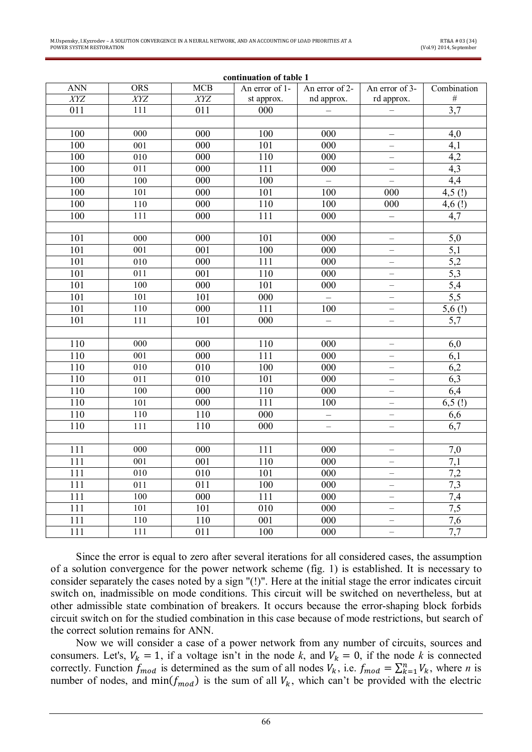| continuation of table 1 |                  |                  |                  |                          |                          |                  |  |  |  |  |  |
|-------------------------|------------------|------------------|------------------|--------------------------|--------------------------|------------------|--|--|--|--|--|
| <b>ANN</b>              | <b>ORS</b>       | MCB              | An error of 1-   | An error of 2-           | An error of 3-           | Combination      |  |  |  |  |  |
| XYZ                     | XYZ              | XYZ              | st approx.       | nd approx.               | rd approx.               | $\#$             |  |  |  |  |  |
| $\overline{011}$        | 111              | $\overline{011}$ | 000              |                          | —                        | 3,7              |  |  |  |  |  |
|                         |                  |                  |                  |                          |                          |                  |  |  |  |  |  |
| 100                     | 000              | 000              | 100              | 000                      | $\equiv$                 | 4,0              |  |  |  |  |  |
| 100                     | 001              | 000              | 101              | 000                      | $\overline{\phantom{0}}$ | 4,1              |  |  |  |  |  |
| 100                     | $\overline{010}$ | $\overline{000}$ | 110              | $\overline{000}$         | $\overline{\phantom{0}}$ | 4,2              |  |  |  |  |  |
| 100                     | 011              | 000              | 111              | 000                      | $\overline{\phantom{0}}$ | 4,3              |  |  |  |  |  |
| 100                     | 100              | $\overline{000}$ | 100              | $\equiv$                 | $\equiv$                 | 4,4              |  |  |  |  |  |
| 100                     | 101              | 000              | 101              | 100                      | 000                      | $4,5$ (!)        |  |  |  |  |  |
| 100                     | 110              | $\overline{000}$ | 110              | 100                      | 000                      | $4,6$ (!)        |  |  |  |  |  |
| 100                     | $\overline{111}$ | 000              | $\overline{111}$ | $\overline{000}$         |                          | 4.7              |  |  |  |  |  |
|                         |                  |                  |                  |                          |                          |                  |  |  |  |  |  |
| 101                     | $\overline{000}$ | 000              | 101              | 000                      | $\overline{\phantom{0}}$ | 5,0              |  |  |  |  |  |
| 101                     | 001              | 001              | 100              | 000                      | $\qquad \qquad -$        | $\overline{5,1}$ |  |  |  |  |  |
| 101                     | 010              | 000              | 111              | $\overline{000}$         | $\overline{\phantom{0}}$ | 5,2              |  |  |  |  |  |
| 101                     | $\overline{011}$ | $\overline{001}$ | 110              | $\overline{000}$         | $\overline{\phantom{0}}$ | $\overline{5,3}$ |  |  |  |  |  |
| 101                     | 100              | $\overline{000}$ | 101              | 000                      | $\overline{\phantom{0}}$ | $\overline{5,4}$ |  |  |  |  |  |
| 101                     | 101              | 101              | 000              | $\frac{1}{2}$            | $\overline{\phantom{0}}$ | 5,5              |  |  |  |  |  |
| 101                     | 110              | $\overline{000}$ | 111              | 100                      | $\equiv$                 | 5,6(!)           |  |  |  |  |  |
| 101                     | 111              | 101              | $\overline{000}$ | $\overline{\phantom{0}}$ | $\qquad \qquad -$        | 5,7              |  |  |  |  |  |
|                         |                  |                  |                  |                          |                          |                  |  |  |  |  |  |
| 110                     | 000              | 000              | 110              | 000                      | $\overline{\phantom{0}}$ | 6,0              |  |  |  |  |  |
| 110                     | $\overline{001}$ | $\overline{000}$ | $\overline{111}$ | $\overline{000}$         | $\overline{\phantom{0}}$ | 6,1              |  |  |  |  |  |
| 110                     | 010              | 010              | 100              | 000                      | $\qquad \qquad -$        | 6,2              |  |  |  |  |  |
| 110                     | 011              | 010              | 101              | 000                      | $\overline{\phantom{0}}$ | 6,3              |  |  |  |  |  |
| 110                     | 100              | 000              | 110              | 000                      | $\equiv$                 | 6,4              |  |  |  |  |  |
| 110                     | 101              | $\overline{000}$ | 111              | 100                      | $\overline{\phantom{0}}$ | 6,5(!)           |  |  |  |  |  |
| $\overline{110}$        | 110              | 110              | $\overline{000}$ | $\overline{a}$           | $\qquad \qquad -$        | 6,6              |  |  |  |  |  |
| 110                     | 111              | $\overline{110}$ | $\overline{000}$ | $\overline{\phantom{0}}$ | $\equiv$                 | $\overline{6,7}$ |  |  |  |  |  |
|                         |                  |                  |                  |                          |                          |                  |  |  |  |  |  |
| 111                     | 000              | 000              | $\overline{111}$ | 000                      | $\qquad \qquad -$        | 7,0              |  |  |  |  |  |
| 111                     | 001              | 001              | 110              | 000                      | $\qquad \qquad -$        | $\overline{7,1}$ |  |  |  |  |  |
| 111                     | 010              | 010              | 101              | 000                      | $\qquad \qquad -$        | 7,2              |  |  |  |  |  |
| 111                     | 011              | 011              | 100              | $\overline{000}$         | $\qquad \qquad -$        | 7,3              |  |  |  |  |  |
| 111                     | 100              | $\overline{000}$ | $\overline{111}$ | $\overline{000}$         | $\overline{\phantom{0}}$ | 7,4              |  |  |  |  |  |
| 111                     | 101              | 101              | 010              | 000                      | $\equiv$                 | 7,5              |  |  |  |  |  |
| 111                     | 110              | 110              | 001              | 000                      | $\overline{\phantom{0}}$ | 7,6              |  |  |  |  |  |
| $\overline{111}$        | 111              | $\overline{011}$ | 100              | $\overline{000}$         |                          | 7,7              |  |  |  |  |  |

Since the error is equal to zero after several iterations for all considered cases, the assumption of a solution convergence for the power network scheme (fig. 1) is established. It is necessary to consider separately the cases noted by a sign "(!)". Here at the initial stage the error indicates circuit switch on, inadmissible on mode conditions. This circuit will be switched on nevertheless, but at other admissible state combination of breakers. It occurs because the error-shaping block forbids circuit switch on for the studied combination in this case because of mode restrictions, but search of the correct solution remains for ANN.

Now we will consider a case of a power network from any number of circuits, sources and consumers. Let's,  $V_k = 1$ , if a voltage isn't in the node k, and  $V_k = 0$ , if the node k is connected correctly. Function  $f_{mod}$  is determined as the sum of all nodes  $V_k$ , i.e.  $f_{mod} = \sum_{k=1}^n V_k$ , where *n* is number of nodes, and  $min(f_{mod})$  is the sum of all  $V_k$ , which can't be provided with the electric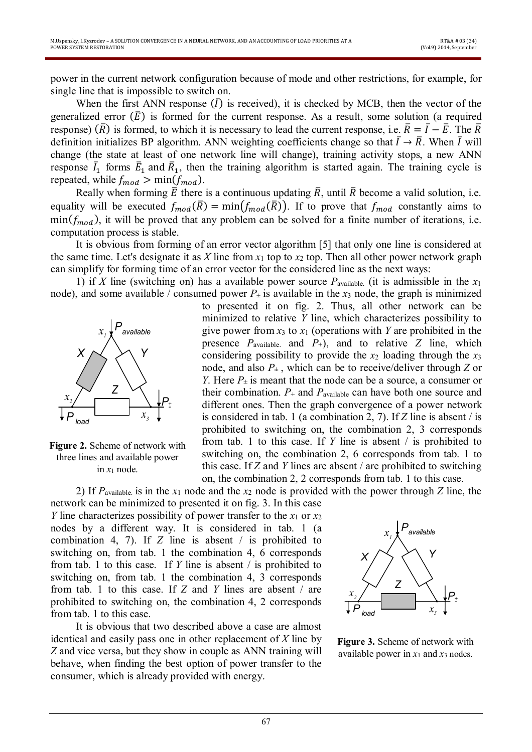power in the current network configuration because of mode and other restrictions, for example, for single line that is impossible to switch on.

When the first ANN response  $(\bar{I})$  is received), it is checked by MCB, then the vector of the generalized error  $(\bar{E})$  is formed for the current response. As a result, some solution (a required response) ( $\bar{R}$ ) is formed, to which it is necessary to lead the current response, i.e.  $\bar{R} = \bar{I} - \bar{E}$ . The  $\bar{R}$ definition initializes BP algorithm. ANN weighting coefficients change so that  $\bar{I} \to \bar{R}$ . When  $\bar{I}$  will change (the state at least of one network line will change), training activity stops, a new ANN response  $\bar{I}_1$  forms  $\bar{E}_1$  and  $\bar{R}_1$ , then the training algorithm is started again. The training cycle is repeated, while  $f_{mod} > min(f_{mod})$ .

Really when forming  $\bar{E}$  there is a continuous updating  $\bar{R}$ , until  $\bar{R}$  become a valid solution, i.e. equality will be executed  $f_{mod}(\overline{R}) = min(f_{mod}(\overline{R}))$ . If to prove that  $f_{mod}$  constantly aims to  $min(f_{mod})$ , it will be proved that any problem can be solved for a finite number of iterations, i.e. computation process is stable.

It is obvious from forming of an error vector algorithm [5] that only one line is considered at the same time. Let's designate it as *X* line from  $x_1$  top to  $x_2$  top. Then all other power network graph can simplify for forming time of an error vector for the considered line as the next ways:

1) if *X* line (switching on) has a available power source  $P_{\text{available}}$  (it is admissible in the  $x_1$ node), and some available / consumed power  $P_{\pm}$  is available in the  $x_3$  node, the graph is minimized



**Figure 2.** Scheme of network with three lines and available power in  $x_1$  node.

to presented it on fig. 2. Thus, all other network can be minimized to relative *Y* line, which characterizes possibility to give power from  $x_3$  to  $x_1$  (operations with *Y* are prohibited in the presence  $P_{\text{available}}$  and  $P_{+}$ ), and to relative *Z* line, which considering possibility to provide the *x*<sup>2</sup> loading through the *x*<sup>3</sup> node, and also  $P_{\pm}$ , which can be to receive/deliver through *Z* or *Y*. Here  $P_{\pm}$  is meant that the node can be a source, a consumer or their combination.  $P_+$  and  $P_{\text{available}}$  can have both one source and different ones. Then the graph convergence of a power network is considered in tab. 1 (a combination 2, 7). If *Z* line is absent / is prohibited to switching on, the combination 2, 3 corresponds from tab. 1 to this case. If *Y* line is absent / is prohibited to switching on, the combination 2, 6 corresponds from tab. 1 to this case. If *Z* and *Y* lines are absent / are prohibited to switching on, the combination 2, 2 corresponds from tab. 1 to this case.

2) If *P*available. is in the *x*<sup>1</sup> node and the *x*<sup>2</sup> node is provided with the power through *Z* line, the network can be minimized to presented it on fig. 3. In this case *Y* line characterizes possibility of power transfer to the  $x_1$  or  $x_2$ nodes by a different way. It is considered in tab. 1 (a combination 4, 7). If *Z* line is absent / is prohibited to switching on, from tab. 1 the combination 4, 6 corresponds from tab. 1 to this case. If *Y* line is absent / is prohibited to switching on, from tab. 1 the combination 4, 3 corresponds from tab. 1 to this case. If *Z* and *Y* lines are absent / are prohibited to switching on, the combination 4, 2 corresponds from tab. 1 to this case.

It is obvious that two described above a case are almost identical and easily pass one in other replacement of *X* line by *Z* and vice versa, but they show in couple as ANN training will behave, when finding the best option of power transfer to the consumer, which is already provided with energy.



**Figure 3.** Scheme of network with available power in  $x_1$  and  $x_3$  nodes.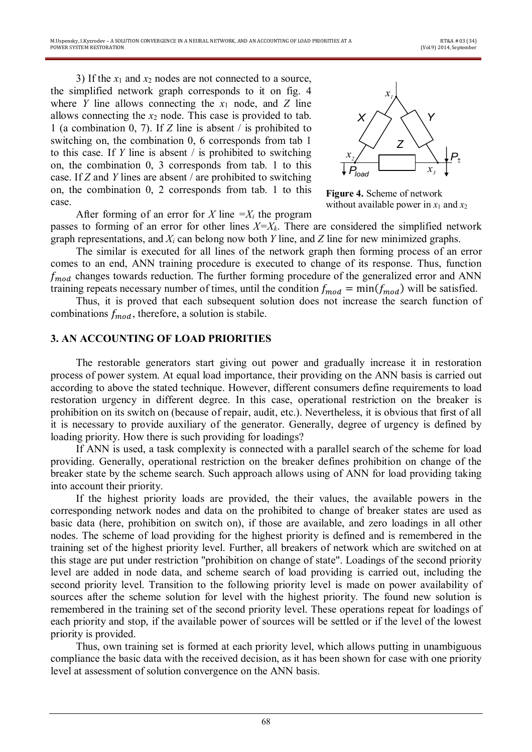3) If the  $x_1$  and  $x_2$  nodes are not connected to a source, the simplified network graph corresponds to it on fig. 4 where *Y* line allows connecting the  $x_1$  node, and *Z* line allows connecting the *x*<sup>2</sup> node. This case is provided to tab. 1 (a combination 0, 7). If *Z* line is absent / is prohibited to switching on, the combination 0, 6 corresponds from tab 1 to this case. If *Y* line is absent / is prohibited to switching on, the combination 0, 3 corresponds from tab. 1 to this case. If *Z* and *Y* lines are absent / are prohibited to switching on, the combination 0, 2 corresponds from tab. 1 to this case.

After forming of an error for *X* line  $=X_i$  the program



**Figure 4.** Scheme of network without available power in  $x_1$  and  $x_2$ 

passes to forming of an error for other lines *X=Xk*. There are considered the simplified network graph representations, and *X<sup>i</sup>* can belong now both *Y* line, and *Z* line for new minimized graphs.

The similar is executed for all lines of the network graph then forming process of an error comes to an end, ANN training procedure is executed to change of its response. Thus, function  $f_{mod}$  changes towards reduction. The further forming procedure of the generalized error and ANN training repeats necessary number of times, until the condition  $f_{mod} = min(f_{mod})$  will be satisfied.

Thus, it is proved that each subsequent solution does not increase the search function of combinations  $f_{mod}$ , therefore, a solution is stabile.

#### **3. AN ACCOUNTING OF LOAD PRIORITIES**

The restorable generators start giving out power and gradually increase it in restoration process of power system. At equal load importance, their providing on the ANN basis is carried out according to above the stated technique. However, different consumers define requirements to load restoration urgency in different degree. In this case, operational restriction on the breaker is prohibition on its switch on (because of repair, audit, etc.). Nevertheless, it is obvious that first of all it is necessary to provide auxiliary of the generator. Generally, degree of urgency is defined by loading priority. How there is such providing for loadings?

If ANN is used, a task complexity is connected with a parallel search of the scheme for load providing. Generally, operational restriction on the breaker defines prohibition on change of the breaker state by the scheme search. Such approach allows using of ANN for load providing taking into account their priority.

If the highest priority loads are provided, the their values, the available powers in the corresponding network nodes and data on the prohibited to change of breaker states are used as basic data (here, prohibition on switch on), if those are available, and zero loadings in all other nodes. The scheme of load providing for the highest priority is defined and is remembered in the training set of the highest priority level. Further, all breakers of network which are switched on at this stage are put under restriction "prohibition on change of state". Loadings of the second priority level are added in node data, and scheme search of load providing is carried out, including the second priority level. Transition to the following priority level is made on power availability of sources after the scheme solution for level with the highest priority. The found new solution is remembered in the training set of the second priority level. These operations repeat for loadings of each priority and stop, if the available power of sources will be settled or if the level of the lowest priority is provided.

Thus, own training set is formed at each priority level, which allows putting in unambiguous compliance the basic data with the received decision, as it has been shown for case with one priority level at assessment of solution convergence on the ANN basis.